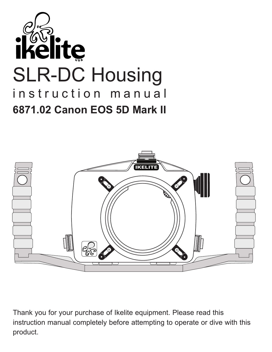



Thank you for your purchase of Ikelite equipment. Please read this instruction manual completely before attempting to operate or dive with this product.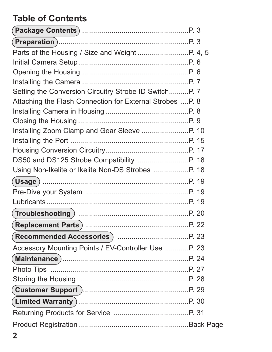## **Table of Contents**

| Setting the Conversion Circuitry Strobe ID SwitchP. 7    |  |
|----------------------------------------------------------|--|
| Attaching the Flash Connection for External Strobes P. 8 |  |
|                                                          |  |
|                                                          |  |
|                                                          |  |
|                                                          |  |
|                                                          |  |
|                                                          |  |
|                                                          |  |
|                                                          |  |
|                                                          |  |
|                                                          |  |
|                                                          |  |
|                                                          |  |
| Recommended Accessories (m. 1997) Mars. 1998             |  |
| Accessory Mounting Points / EV-Controller Use  P. 23     |  |
| (Maintenance )…………………………………………………………P. 24                |  |
|                                                          |  |
|                                                          |  |
|                                                          |  |
|                                                          |  |
|                                                          |  |
|                                                          |  |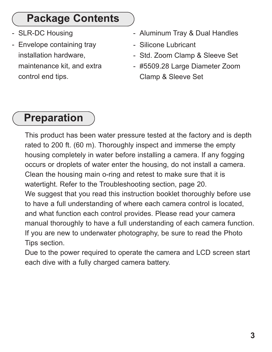## **Package Contents**

- SLR-DC Housing
- Envelope containing tray installation hardware, maintenance kit, and extra control end tips.
- Aluminum Tray & Dual Handles
- Silicone Lubricant
- Std. Zoom Clamp & Sleeve Set
- #5509.28 Large Diameter Zoom Clamp & Sleeve Set

## **Preparation**

This product has been water pressure tested at the factory and is depth rated to 200 ft. (60 m). Thoroughly inspect and immerse the empty housing completely in water before installing a camera. If any fogging occurs or droplets of water enter the housing, do not install a camera. Clean the housing main o-ring and retest to make sure that it is watertight. Refer to the Troubleshooting section, page 20. We suggest that you read this instruction booklet thoroughly before use to have a full understanding of where each camera control is located, and what function each control provides. Please read your camera manual thoroughly to have a full understanding of each camera function. If you are new to underwater photography, be sure to read the Photo Tips section.

Due to the power required to operate the camera and LCD screen start each dive with a fully charged camera battery.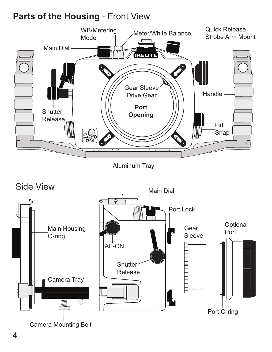#### **Parts of the Housing** - Front View



Camera Mounting Bolt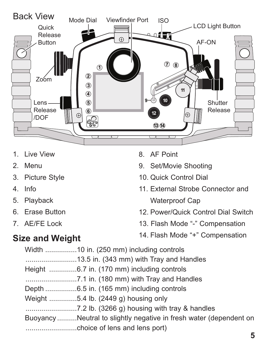

- 1. Live View
- 2. Menu
- 3. Picture Style
- 4. Info
- 5. Playback
- 6. Erase Button
- 7. AE/FE Lock
- 8. AF Point
- 9. Set/Movie Shooting
- 10. Quick Control Dial
- 11. External Strobe Connector and Waterproof Cap
- 12. Power/Quick Control Dial Switch
- 13. Flash Mode "-" Compensation
- 14. Flash Mode "+" Compensation

#### **Size and Weight**

|  | Height 6.7 in. (170 mm) including controls                        |
|--|-------------------------------------------------------------------|
|  |                                                                   |
|  | Depth 6.5 in. (165 mm) including controls                         |
|  | Weight 5.4 lb. (2449 g) housing only                              |
|  |                                                                   |
|  | BuoyancyNeutral to slightly negative in fresh water (dependent on |
|  |                                                                   |
|  |                                                                   |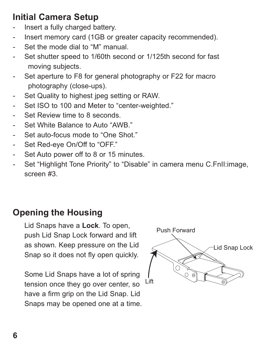### **Initial Camera Setup**

- Insert a fully charged battery.
- Insert memory card (1GB or greater capacity recommended).
- Set the mode dial to "M" manual.
- Set shutter speed to 1/60th second or 1/125th second for fast moving subjects.
- Set aperture to F8 for general photography or F22 for macro photography (close-ups).
- Set Quality to highest jpeg setting or RAW.
- Set ISO to 100 and Meter to "center-weighted."
- Set Review time to 8 seconds.
- Set White Balance to Auto "AWB."
- Set auto-focus mode to "One Shot."
- Set Red-eye On/Off to "OFF."
- Set Auto power off to 8 or 15 minutes.
- Set "Highlight Tone Priority" to "Disable" in camera menu C.FnII: image, screen #3.

#### **Opening the Housing**

Lid Snaps have a **Lock**. To open, push Lid Snap Lock forward and lift as shown. Keep pressure on the Lid Snap so it does not fly open quickly.

Some Lid Snaps have a lot of spring tension once they go over center, so have a firm grip on the Lid Snap. Lid Snaps may be opened one at a time.

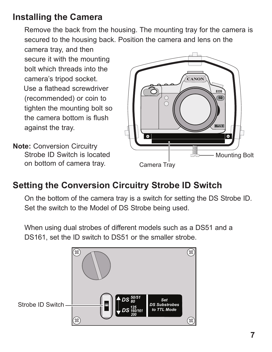#### **Installing the Camera**

Remove the back from the housing. The mounting tray for the camera is secured to the housing back. Position the camera and lens on the

camera tray, and then secure it with the mounting bolt which threads into the camera's tripod socket. Use a flathead screwdriver (recommended) or coin to tighten the mounting bolt so the camera bottom is flush against the tray.

**Note:** Conversion Circuitry Strobe ID Switch is located on bottom of camera tray.



#### **Setting the Conversion Circuitry Strobe ID Switch**

On the bottom of the camera tray is a switch for setting the DS Strobe ID. Set the switch to the Model of DS Strobe being used.

When using dual strobes of different models such as a DS51 and a DS161, set the ID switch to DS51 or the smaller strobe.

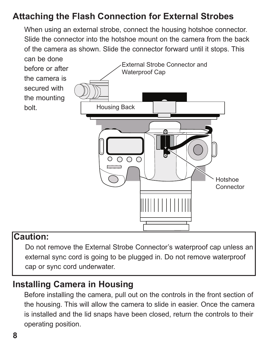### **Attaching the Flash Connection for External Strobes**

When using an external strobe, connect the housing hotshoe connector. Slide the connector into the hotshoe mount on the camera from the back of the camera as shown. Slide the connector forward until it stops. This



#### **Caution:**

Do not remove the External Strobe Connector's waterproof cap unless an external sync cord is going to be plugged in. Do not remove waterproof cap or sync cord underwater.

#### **Installing Camera in Housing**

Before installing the camera, pull out on the controls in the front section of the housing. This will allow the camera to slide in easier. Once the camera is installed and the lid snaps have been closed, return the controls to their operating position.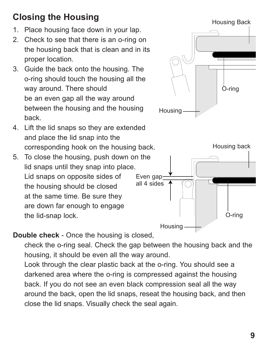## **Closing the Housing**

- 1. Place housing face down in your lap.
- 2. Check to see that there is an o-ring on the housing back that is clean and in its proper location.
- 3. Guide the back onto the housing. The o-ring should touch the housing all the way around. There should be an even gap all the way around between the housing and the housing back.
- 4. Lift the lid snaps so they are extended and place the lid snap into the corresponding hook on the housing back.
- 5. To close the housing, push down on the lid snaps until they snap into place. Lid snaps on opposite sides of the housing should be closed at the same time. Be sure they are down far enough to engage the lid-snap lock.





#### **Double check** - Once the housing is closed,

check the o-ring seal. Check the gap between the housing back and the housing, it should be even all the way around.

Look through the clear plastic back at the o-ring. You should see a darkened area where the o-ring is compressed against the housing back. If you do not see an even black compression seal all the way around the back, open the lid snaps, reseat the housing back, and then close the lid snaps. Visually check the seal again.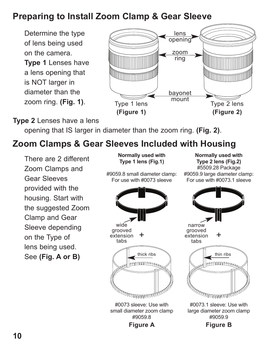#### **Preparing to Install Zoom Clamp & Gear Sleeve**

Determine the type of lens being used on the camera.

**Type 1** Lenses have a lens opening that is NOT larger in diameter than the zoom ring. **(Fig. 1)**.



#### **Type 2** Lenses have a lens

opening that IS larger in diameter than the zoom ring. **(Fig. 2)**.

#### **Zoom Clamps & Gear Sleeves Included with Housing**

There are 2 different Zoom Clamps and Gear Sleeves provided with the housing. Start with the suggested Zoom Clamp and Gear Sleeve depending on the Type of lens being used. See **(Fig. A or B)**

**Normally used with Type 1 lens (Fig.1)** #9059.8 small diameter clamp:

For use with #0073 sleeve

**Normally used with Type 2 lens (Fig.2)** #5509.28 Package #9059.9 large diameter clamp: For use with #0073.1 sleeve



#9059.8 **Figure A**

narrow grooved + extension tabs thick ribs  $\sim$   $\parallel$  thin ribs **ANNING CAR** 

#0073.1 sleeve: Use with large diameter zoom clamp #9059.9

**Figure B**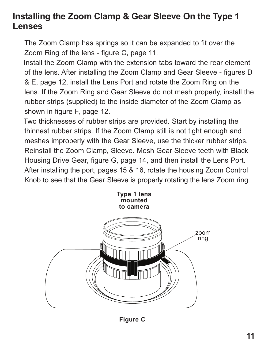#### **Installing the Zoom Clamp & Gear Sleeve On the Type 1 Lenses**

The Zoom Clamp has springs so it can be expanded to fit over the Zoom Ring of the lens - figure C, page 11.

Install the Zoom Clamp with the extension tabs toward the rear element of the lens. After installing the Zoom Clamp and Gear Sleeve - figures D & E, page 12, install the Lens Port and rotate the Zoom Ring on the lens. If the Zoom Ring and Gear Sleeve do not mesh properly, install the rubber strips (supplied) to the inside diameter of the Zoom Clamp as shown in figure F, page 12.

Two thicknesses of rubber strips are provided. Start by installing the thinnest rubber strips. If the Zoom Clamp still is not tight enough and meshes improperly with the Gear Sleeve, use the thicker rubber strips. Reinstall the Zoom Clamp, Sleeve. Mesh Gear Sleeve teeth with Black Housing Drive Gear, figure G, page 14, and then install the Lens Port. After installing the port, pages 15 & 16, rotate the housing Zoom Control Knob to see that the Gear Sleeve is properly rotating the lens Zoom ring.



**Figure C**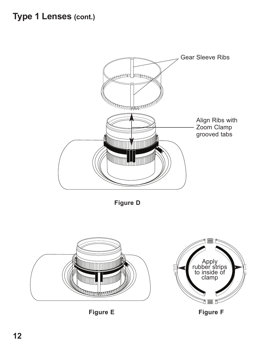

**Figure D**



**Figure E**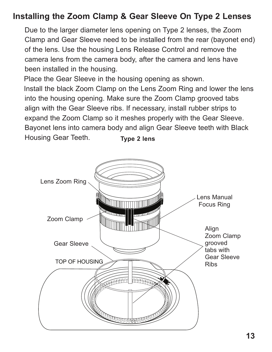#### **Installing the Zoom Clamp & Gear Sleeve On Type 2 Lenses**

Due to the larger diameter lens opening on Type 2 lenses, the Zoom Clamp and Gear Sleeve need to be installed from the rear (bayonet end) of the lens. Use the housing Lens Release Control and remove the camera lens from the camera body, after the camera and lens have been installed in the housing.

 align with the Gear Sleeve ribs. If necessary, install rubber strips to Place the Gear Sleeve in the housing opening as shown. Install the black Zoom Clamp on the Lens Zoom Ring and lower the lens into the housing opening. Make sure the Zoom Clamp grooved tabs expand the Zoom Clamp so it meshes properly with the Gear Sleeve. Bayonet lens into camera body and align Gear Sleeve teeth with Black Housing Gear Teeth. **Type 2 lens**

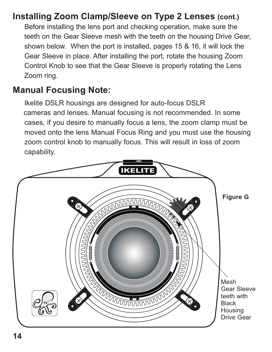#### **Installing Zoom Clamp/Sleeve on Type 2 Lenses (cont.)**

Before installing the lens port and checking operation, make sure the teeth on the Gear Sleeve mesh with the teeth on the housing Drive Gear, shown below. When the port is installed, pages 15 & 16, it will lock the Gear Sleeve in place. After installing the port, rotate the housing Zoom Control Knob to see that the Gear Sleeve is properly rotating the Lens Zoom ring.

#### **Manual Focusing Note:**

Ikelite DSLR housings are designed for auto-focus DSLR cameras and lenses. Manual focusing is not recommended. In some cases, if you desire to manually focus a lens, the zoom clamp must be moved onto the lens Manual Focus Ring and you must use the housing zoom control knob to manually focus. This will result in loss of zoom capability.

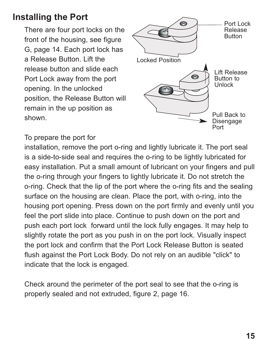#### **Installing the Port**

There are four port locks on the front of the housing, see figure G, page 14. Each port lock has a Release Button. Lift the release button and slide each Port Lock away from the port opening. In the unlocked position, the Release Button will remain in the up position as shown.



To prepare the port for

installation, remove the port o-ring and lightly lubricate it. The port seal is a side-to-side seal and requires the o-ring to be lightly lubricated for easy installation. Put a small amount of lubricant on your fingers and pull the o-ring through your fingers to lightly lubricate it. Do not stretch the o-ring. Check that the lip of the port where the o-ring fits and the sealing surface on the housing are clean. Place the port, with o-ring, into the housing port opening. Press down on the port firmly and evenly until you feel the port slide into place. Continue to push down on the port and push each port lock forward until the lock fully engages. It may help to slightly rotate the port as you push in on the port lock. Visually inspect the port lock and confirm that the Port Lock Release Button is seated flush against the Port Lock Body. Do not rely on an audible "click" to indicate that the lock is engaged.

Check around the perimeter of the port seal to see that the o-ring is properly sealed and not extruded, figure 2, page 16.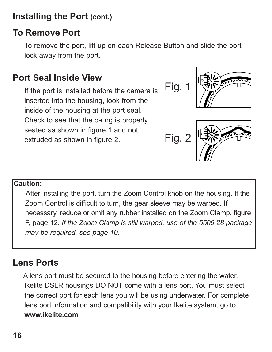#### **Installing the Port (cont.)**

#### **To Remove Port**

To remove the port, lift up on each Release Button and slide the port lock away from the port.

### **Port Seal Inside View**

If the port is installed before the camera is inserted into the housing, look from the inside of the housing at the port seal. Check to see that the o-ring is properly seated as shown in figure 1 and not extruded as shown in figure 2.



$$
Fig. 2 \n\begin{array}{|c|}\n\hline\n\text{R} & \text{R} \\
\hline\n\text{R} & \text{R} \\
\hline\n\text{R} & \text{R}\n\end{array}
$$

#### **Caution:**

After installing the port, turn the Zoom Control knob on the housing. If the Zoom Control is difficult to turn, the gear sleeve may be warped. If necessary, reduce or omit any rubber installed on the Zoom Clamp, figure F, page 12. *If the Zoom Clamp is still warped, use of the 5509.28 package may be required, see page 10.*

#### **Lens Ports**

A lens port must be secured to the housing before entering the water. Ikelite DSLR housings DO NOT come with a lens port. You must select the correct port for each lens you will be using underwater. For complete lens port information and compatibility with your Ikelite system, go to **www.ikelite.com**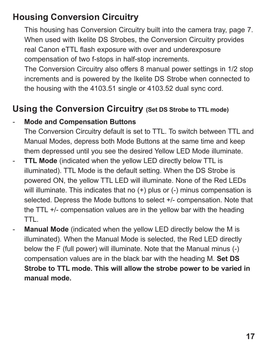#### **Housing Conversion Circuitry**

This housing has Conversion Circuitry built into the camera tray, page 7. When used with Ikelite DS Strobes, the Conversion Circuitry provides real Canon eTTL flash exposure with over and underexposure compensation of two f-stops in half-stop increments.

The Conversion Circuitry also offers 8 manual power settings in 1/2 stop increments and is powered by the Ikelite DS Strobe when connected to the housing with the 4103.51 single or 4103.52 dual sync cord.

#### **Using the Conversion Circuitry (Set DS Strobe to TTL mode)**

#### - **Mode and Compensation Buttons**

The Conversion Circuitry default is set to TTL. To switch between TTL and Manual Modes, depress both Mode Buttons at the same time and keep them depressed until you see the desired Yellow LED Mode illuminate.

- **TTL Mode** (indicated when the yellow LED directly below TTL is illuminated). TTL Mode is the default setting. When the DS Strobe is powered ON, the yellow TTL LED will illuminate. None of the Red LEDs will illuminate. This indicates that no (+) plus or (-) minus compensation is selected. Depress the Mode buttons to select +/- compensation. Note that the TTL +/- compensation values are in the yellow bar with the heading TTL.
- **Manual Mode** (indicated when the yellow LED directly below the M is illuminated). When the Manual Mode is selected, the Red LED directly below the F (full power) will illuminate. Note that the Manual minus (-) compensation values are in the black bar with the heading M. **Set DS Strobe to TTL mode. This will allow the strobe power to be varied in manual mode.**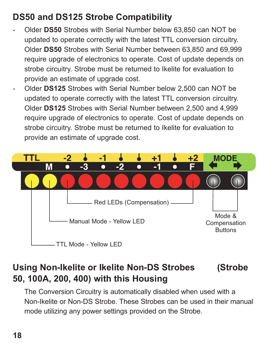### **DS50 and DS125 Strobe Compatibility**

- Older **DS50** Strobes with Serial Number below 63,850 can NOT be updated to operate correctly with the latest TTL conversion circuitry. Older **DS50** Strobes with Serial Number between 63,850 and 69,999 require upgrade of electronics to operate. Cost of update depends on strobe circuitry. Strobe must be returned to Ikelite for evaluation to provide an estimate of upgrade cost.
- Older **DS125** Strobes with Serial Number below 2,500 can NOT be updated to operate correctly with the latest TTL conversion circuitry. Older **DS125** Strobes with Serial Number between 2,500 and 4,999 require upgrade of electronics to operate. Cost of update depends on strobe circuitry. Strobe must be returned to Ikelite for evaluation to provide an estimate of upgrade cost.



### **Using Non-Ikelite or Ikelite Non-DS Strobes (Strobe 50, 100A, 200, 400) with this Housing**

The Conversion Circuitry is automatically disabled when used with a Non-Ikelite or Non-DS Strobe. These Strobes can be used in their manual mode utilizing any power settings provided on the Strobe.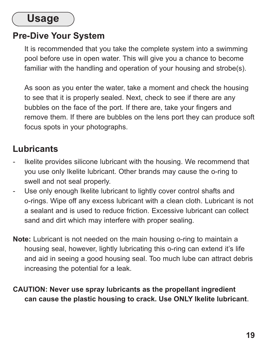## **Usage**

#### **Pre-Dive Your System**

It is recommended that you take the complete system into a swimming pool before use in open water. This will give you a chance to become familiar with the handling and operation of your housing and strobe(s).

As soon as you enter the water, take a moment and check the housing to see that it is properly sealed. Next, check to see if there are any bubbles on the face of the port. If there are, take your fingers and remove them. If there are bubbles on the lens port they can produce soft focus spots in your photographs.

#### **Lubricants**

- Ikelite provides silicone lubricant with the housing. We recommend that you use only Ikelite lubricant. Other brands may cause the o-ring to swell and not seal properly.
- Use only enough Ikelite lubricant to lightly cover control shafts and o-rings. Wipe off any excess lubricant with a clean cloth. Lubricant is not a sealant and is used to reduce friction. Excessive lubricant can collect sand and dirt which may interfere with proper sealing.
- **Note:** Lubricant is not needed on the main housing o-ring to maintain a housing seal, however, lightly lubricating this o-ring can extend it's life and aid in seeing a good housing seal. Too much lube can attract debris increasing the potential for a leak.

#### **CAUTION: Never use spray lubricants as the propellant ingredient can cause the plastic housing to crack. Use ONLY Ikelite lubricant**.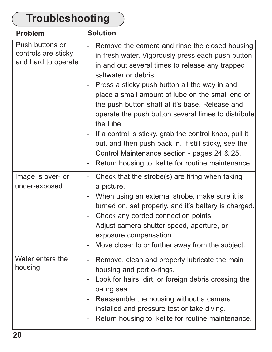#### **Troubleshooting** Push buttons or controls are sticky and hard to operate Remove the camera and rinse the closed housing in fresh water. Vigorously press each push button in and out several times to release any trapped saltwater or debris. - Press a sticky push button all the way in and place a small amount of lube on the small end of the push button shaft at it's base. Release and operate the push button several times to distribute the lube. If a control is sticky, grab the control knob, pull it out, and then push back in. If still sticky, see the Control Maintenance section - pages 24 & 25. - Return housing to Ikelite for routine maintenance. **Problem Solution** Image is over- or under-exposed - Check that the strobe(s) are firing when taking a picture. - When using an external strobe, make sure it is turned on, set properly, and it's battery is charged. - Check any corded connection points. - Adjust camera shutter speed, aperture, or exposure compensation. - Move closer to or further away from the subject. Water enters the housing - Remove, clean and properly lubricate the main housing and port o-rings. - Look for hairs, dirt, or foreign debris crossing the o-ring seal. - Reassemble the housing without a camera installed and pressure test or take diving. Return housing to Ikelite for routine maintenance.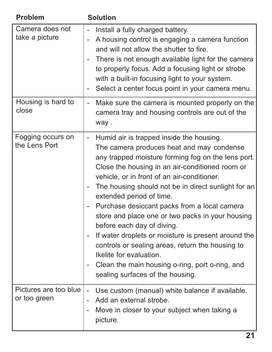| Problem                               | <b>Solution</b>                                                                                                                                                                                                                                                                                                                                                                                                                                                                                                                                                                                                                                                                                                                                                                                                           |
|---------------------------------------|---------------------------------------------------------------------------------------------------------------------------------------------------------------------------------------------------------------------------------------------------------------------------------------------------------------------------------------------------------------------------------------------------------------------------------------------------------------------------------------------------------------------------------------------------------------------------------------------------------------------------------------------------------------------------------------------------------------------------------------------------------------------------------------------------------------------------|
| Camera does not<br>take a picture     | Install a fully charged battery.<br>A housing control is engaging a camera function<br>$\overline{\phantom{a}}$<br>and will not allow the shutter to fire.<br>There is not enough available light for the camera<br>to properly focus. Add a focusing light or strobe<br>with a built-in focusing light to your system.<br>Select a center focus point in your camera menu.<br>-                                                                                                                                                                                                                                                                                                                                                                                                                                          |
| Housing is hard to<br>close           | Make sure the camera is mounted properly on the<br>$\overline{\phantom{0}}$<br>camera tray and housing controls are out of the<br>way.                                                                                                                                                                                                                                                                                                                                                                                                                                                                                                                                                                                                                                                                                    |
| Fogging occurs on<br>the Lens Port    | Humid air is trapped inside the housing.<br>$\overline{\phantom{0}}$<br>The camera produces heat and may condense<br>any trapped moisture forming fog on the lens port.<br>Close the housing in an air-conditioned room or<br>vehicle, or in front of an air-conditioner.<br>The housing should not be in direct sunlight for an<br>$\overline{\phantom{0}}$<br>extended period of time.<br>Purchase desiccant packs from a local camera<br>$\overline{\phantom{0}}$<br>store and place one or two packs in your housing<br>before each day of diving.<br>If water droplets or moisture is present around the<br>$\overline{\phantom{0}}$<br>controls or sealing areas, return the housing to<br>Ikelite for evaluation.<br>Clean the main housing o-ring, port o-ring, and<br>$\sim$<br>sealing surfaces of the housing. |
| Pictures are too blue<br>or too green | Use custom (manual) white balance if available.<br>Add an external strobe.<br>$\overline{\phantom{a}}$<br>Move in closer to your subject when taking a<br>۰<br>picture.                                                                                                                                                                                                                                                                                                                                                                                                                                                                                                                                                                                                                                                   |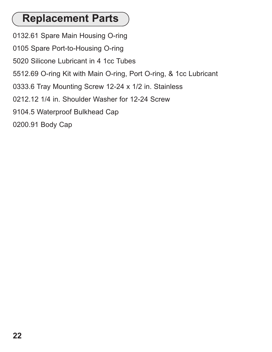## **Replacement Parts**

- 0132.61 Spare Main Housing O-ring
- 0105 Spare Port-to-Housing O-ring
- 5020 Silicone Lubricant in 4 1cc Tubes
- 5512.69 O-ring Kit with Main O-ring, Port O-ring, & 1cc Lubricant
- 0333.6 Tray Mounting Screw 12-24 x 1/2 in. Stainless
- 0212.12 1/4 in. Shoulder Washer for 12-24 Screw
- 9104.5 Waterproof Bulkhead Cap
- 0200.91 Body Cap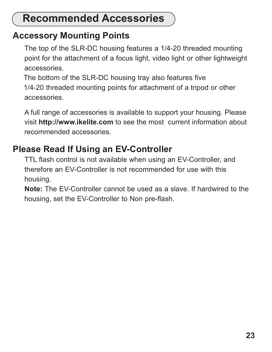## **Recommended Accessories**

#### **Accessory Mounting Points**

The top of the SLR-DC housing features a 1/4-20 threaded mounting point for the attachment of a focus light, video light or other lightweight accessories.

The bottom of the SLR-DC housing tray also features five 1/4-20 threaded mounting points for attachment of a tripod or other accessories.

A full range of accessories is available to support your housing. Please visit **http://www.ikelite.com** to see the most current information about recommended accessories.

### **Please Read If Using an EV-Controller**

TTL flash control is not available when using an EV-Controller, and therefore an EV-Controller is not recommended for use with this housing.

**Note:** The EV-Controller cannot be used as a slave. If hardwired to the housing, set the EV-Controller to Non pre-flash.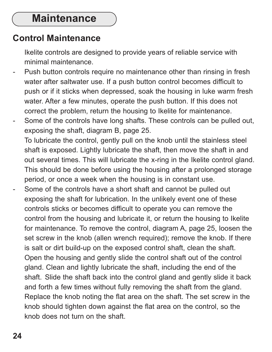### **Maintenance**

#### **Control Maintenance**

Ikelite controls are designed to provide years of reliable service with minimal maintenance.

- Push button controls require no maintenance other than rinsing in fresh water after saltwater use. If a push button control becomes difficult to push or if it sticks when depressed, soak the housing in luke warm fresh water. After a few minutes, operate the push button. If this does not correct the problem, return the housing to Ikelite for maintenance.
- Some of the controls have long shafts. These controls can be pulled out, exposing the shaft, diagram B, page 25. To lubricate the control, gently pull on the knob until the stainless steel shaft is exposed. Lightly lubricate the shaft, then move the shaft in and out several times. This will lubricate the x-ring in the Ikelite control gland. This should be done before using the housing after a prolonged storage period, or once a week when the housing is in constant use.
- Some of the controls have a short shaft and cannot be pulled out exposing the shaft for lubrication. In the unlikely event one of these controls sticks or becomes difficult to operate you can remove the control from the housing and lubricate it, or return the housing to Ikelite for maintenance. To remove the control, diagram A, page 25, loosen the set screw in the knob (allen wrench required); remove the knob. If there is salt or dirt build-up on the exposed control shaft, clean the shaft. Open the housing and gently slide the control shaft out of the control gland. Clean and lightly lubricate the shaft, including the end of the shaft. Slide the shaft back into the control gland and gently slide it back and forth a few times without fully removing the shaft from the gland. Replace the knob noting the flat area on the shaft. The set screw in the knob should tighten down against the flat area on the control, so the knob does not turn on the shaft.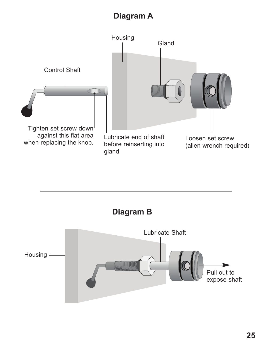#### **Diagram A**



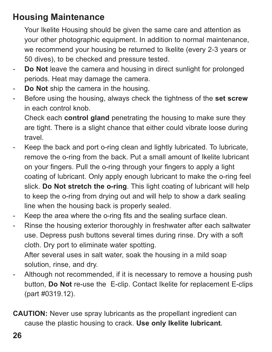#### **Housing Maintenance**

Your Ikelite Housing should be given the same care and attention as your other photographic equipment. In addition to normal maintenance, we recommend your housing be returned to Ikelite (every 2-3 years or 50 dives), to be checked and pressure tested.

- **Do Not** leave the camera and housing in direct sunlight for prolonged periods. Heat may damage the camera.
- Do Not ship the camera in the housing.
- Before using the housing, always check the tightness of the **set screw** in each control knob.

Check each **control gland** penetrating the housing to make sure they are tight. There is a slight chance that either could vibrate loose during travel.

- Keep the back and port o-ring clean and lightly lubricated. To lubricate, remove the o-ring from the back. Put a small amount of lkelite lubricant on your fingers. Pull the o-ring through your fingers to apply a light coating of lubricant. Only apply enough lubricant to make the o-ring feel slick. **Do Not stretch the o-ring**. This light coating of lubricant will help to keep the o-ring from drying out and will help to show a dark sealing line when the housing back is properly sealed.
- Keep the area where the o-ring fits and the sealing surface clean.
- Rinse the housing exterior thoroughly in freshwater after each saltwater use. Depress push buttons several times during rinse. Dry with a soft cloth. Dry port to eliminate water spotting.

After several uses in salt water, soak the housing in a mild soap solution, rinse, and dry.

- Although not recommended, if it is necessary to remove a housing push button, **Do Not** re-use the E-clip. Contact Ikelite for replacement E-clips (part #0319.12).
- **CAUTION:** Never use spray lubricants as the propellant ingredient can cause the plastic housing to crack. **Use only Ikelite lubricant***.*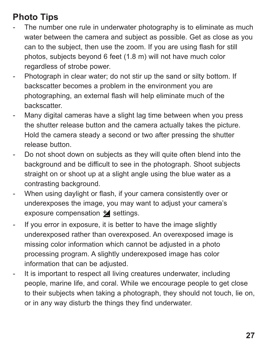### **Photo Tips**

- The number one rule in underwater photography is to eliminate as much water between the camera and subject as possible. Get as close as you can to the subject, then use the zoom. If you are using flash for still photos, subjects beyond 6 feet (1.8 m) will not have much color regardless of strobe power.
- Photograph in clear water; do not stir up the sand or silty bottom. If backscatter becomes a problem in the environment you are photographing, an external flash will help eliminate much of the backscatter.
- Many digital cameras have a slight lag time between when you press the shutter release button and the camera actually takes the picture. Hold the camera steady a second or two after pressing the shutter release button.
- Do not shoot down on subjects as they will quite often blend into the background and be difficult to see in the photograph. Shoot subjects straight on or shoot up at a slight angle using the blue water as a contrasting background.
- When using daylight or flash, if your camera consistently over or underexposes the image, you may want to adjust your camera's exposure compensation  $\mathbf{\pm}$  settings.
- If you error in exposure, it is better to have the image slightly underexposed rather than overexposed. An overexposed image is missing color information which cannot be adjusted in a photo processing program. A slightly underexposed image has color information that can be adjusted.
- It is important to respect all living creatures underwater, including people, marine life, and coral. While we encourage people to get close to their subjects when taking a photograph, they should not touch, lie on, or in any way disturb the things they find underwater.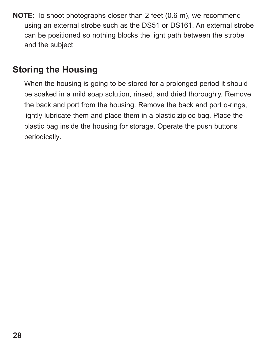**NOTE:** To shoot photographs closer than 2 feet (0.6 m), we recommend using an external strobe such as the DS51 or DS161. An external strobe can be positioned so nothing blocks the light path between the strobe and the subject.

#### **Storing the Housing**

When the housing is going to be stored for a prolonged period it should be soaked in a mild soap solution, rinsed, and dried thoroughly. Remove the back and port from the housing. Remove the back and port o-rings, lightly lubricate them and place them in a plastic ziploc bag. Place the plastic bag inside the housing for storage. Operate the push buttons periodically.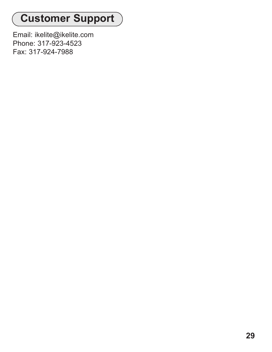# **Customer Support**

Email: ikelite@ikelite.com Phone: 317-923-4523 Fax: 317-924-7988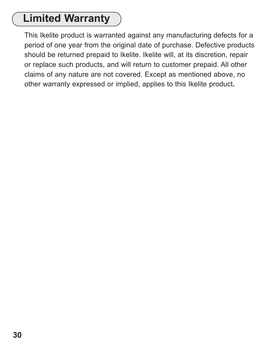## **Limited Warranty**

This Ikelite product is warranted against any manufacturing defects for a period of one year from the original date of purchase. Defective products should be returned prepaid to Ikelite. Ikelite will, at its discretion, repair or replace such products, and will return to customer prepaid. All other claims of any nature are not covered. Except as mentioned above, no other warranty expressed or implied, applies to this Ikelite product**.**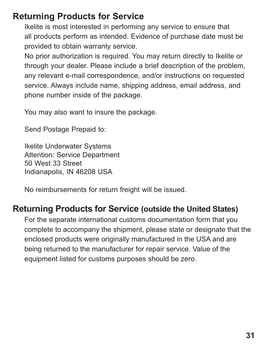#### **Returning Products for Service**

Ikelite is most interested in performing any service to ensure that all products perform as intended. Evidence of purchase date must be provided to obtain warranty service.

No prior authorization is required. You may return directly to Ikelite or through your dealer. Please include a brief description of the problem, any relevant e-mail correspondence, and/or instructions on requested service. Always include name, shipping address, email address, and phone number inside of the package.

You may also want to insure the package.

Send Postage Prepaid to:

Ikelite Underwater Systems Attention: Service Department 50 West 33 Street Indianapolis, IN 46208 USA

No reimbursements for return freight will be issued.

#### **Returning Products for Service (outside the United States)**

For the separate international customs documentation form that you complete to accompany the shipment, please state or designate that the enclosed products were originally manufactured in the USA and are being returned to the manufacturer for repair service. Value of the equipment listed for customs purposes should be zero.